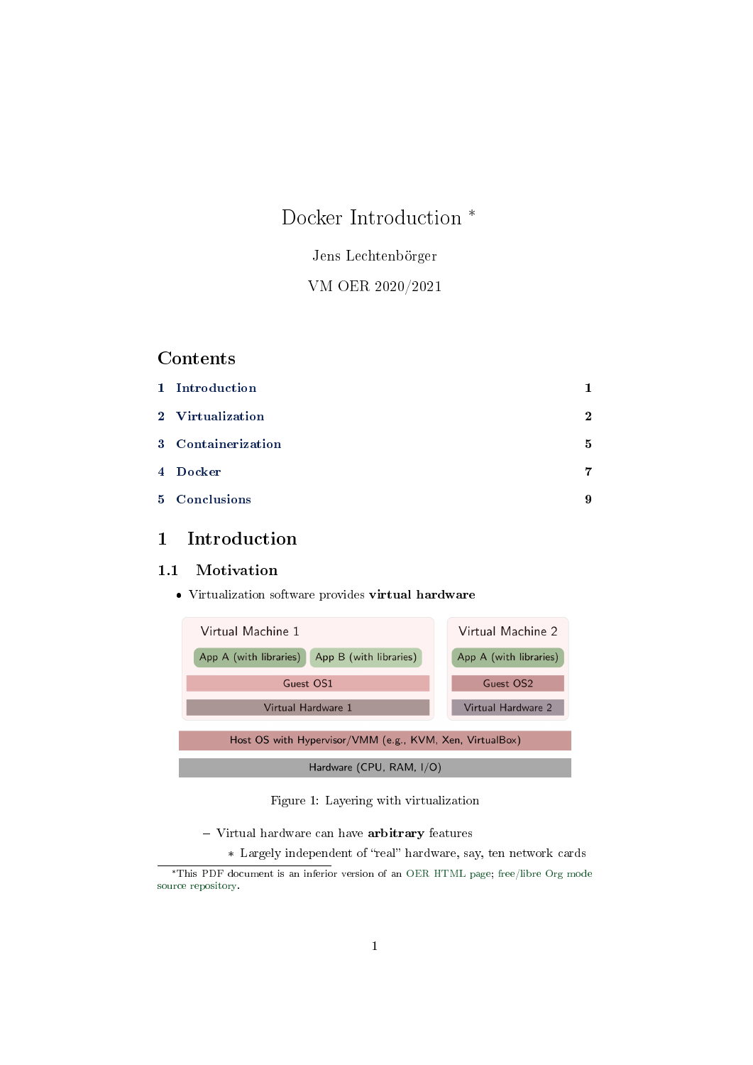# Docker Introduction \*

Jens Lechtenbörger

VM OER 2020/2021

# Contents

| 1 Introduction     |              |
|--------------------|--------------|
| 2 Virtualization   | $\mathbf{2}$ |
| 3 Containerization | 5            |
| 4 Docker           | 7            |
| 5 Conclusions      | 9            |

# <span id="page-0-0"></span>1 Introduction

# 1.1 Motivation

Virtualization software provides virtual hardware



Figure 1: Layering with virtualization

- Virtual hardware can have arbitrary features
	- \* Largely independent of "real" hardware, say, ten network cards

<sup>\*</sup>This PDF document is an inferior version of an [OER HTML page;](https://oer.gitlab.io/oer-courses/vm-oer/04-Docker.html) [free/libre Org mode](https://gitlab.com/oer/oer-courses/vm-oer) [source repository.](https://gitlab.com/oer/oer-courses/vm-oer)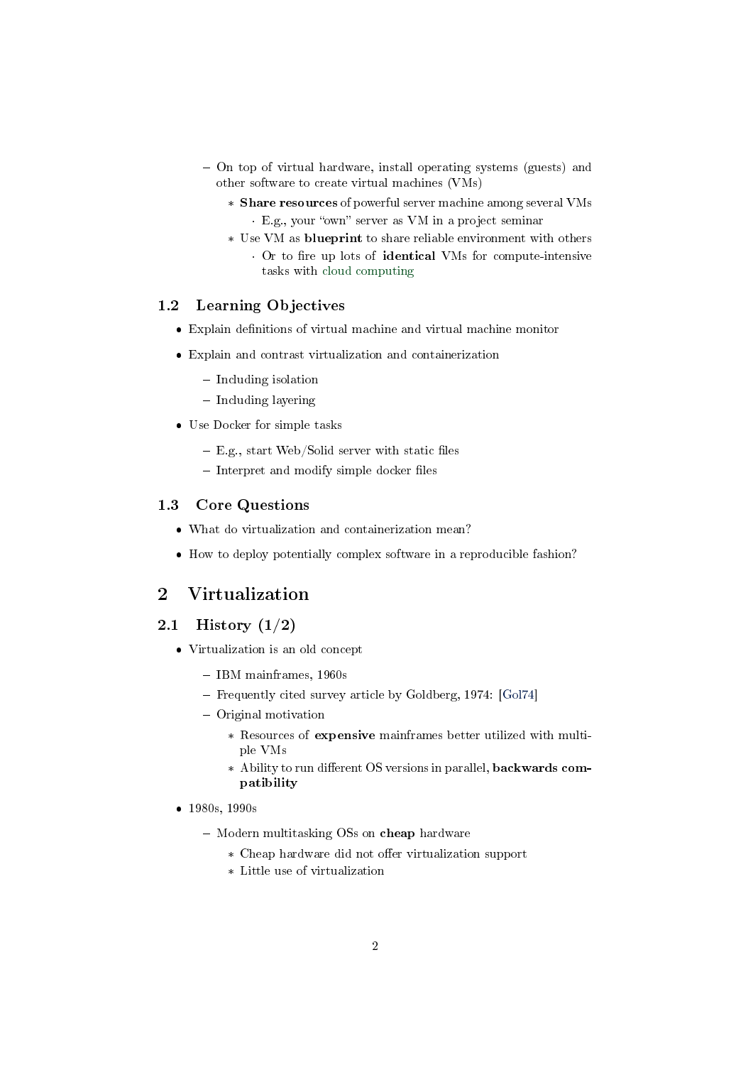- On top of virtual hardware, install operating systems (guests) and other software to create virtual machines (VMs)
	- \* Share resources of powerful server machine among several VMs · E.g., your "own" server as VM in a project seminar
	- \* Use VM as blueprint to share reliable environment with others • Or to fire up lots of **identical** VMs for compute-intensive tasks with [cloud computing](https://en.wikipedia.org/wiki/Cloud_computing)

#### 1.2 Learning Objectives

- $\bullet$  Explain definitions of virtual machine and virtual machine monitor
- Explain and contrast virtualization and containerization
	- $-$  Including isolation
	- Including layering
- Use Docker for simple tasks
	- $-$  E.g., start Web/Solid server with static files
	- $-$  Interpret and modify simple docker files

# 1.3 Core Questions

- What do virtualization and containerization mean?
- How to deploy potentially complex software in a reproducible fashion?

# <span id="page-1-0"></span>2 Virtualization

#### 2.1 History  $(1/2)$

- Virtualization is an old concept
	- IBM mainframes, 1960s
	- Frequently cited survey article by Goldberg, 1974: [\[Gol74\]](#page-8-1)
	- Original motivation
		- \* Resources of expensive mainframes better utilized with multiple VMs
		- \* Ability to run different OS versions in parallel, backwards compatibility
- 1980s, 1990s
	- Modern multitasking OSs on cheap hardware
		- \* Cheap hardware did not offer virtualization support
		- \* Little use of virtualization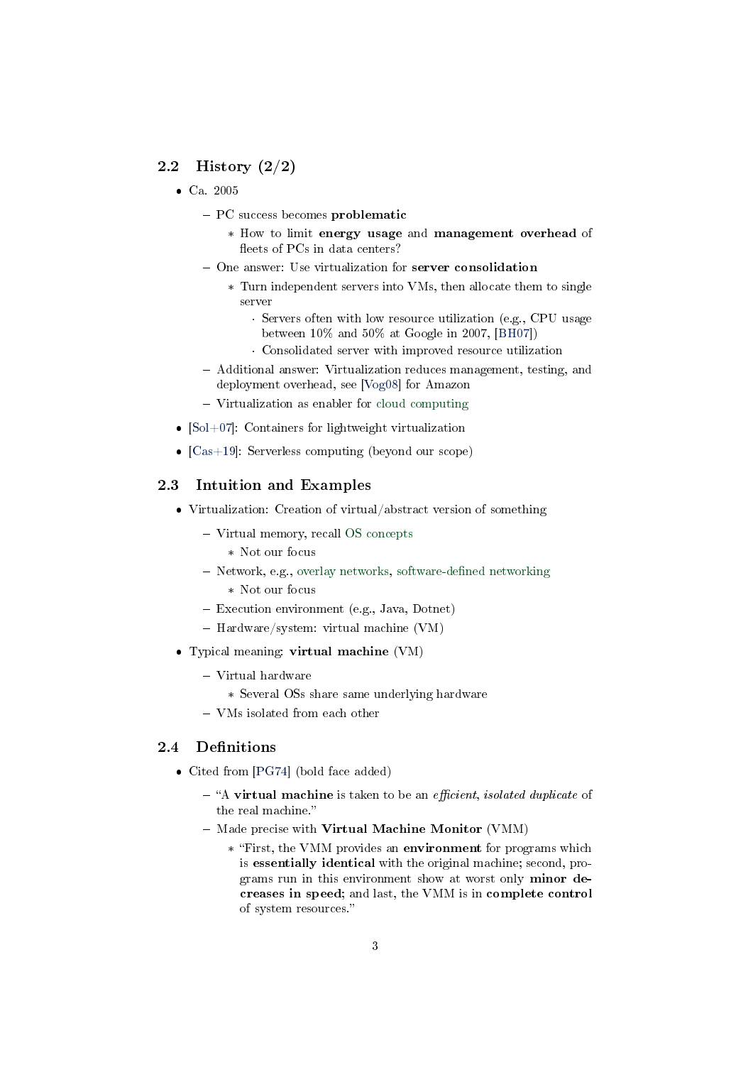# 2.2 History (2/2)

- Ca. 2005
	- PC success becomes problematic
		- \* How to limit energy usage and management overhead of fleets of PCs in data centers?
	- One answer: Use virtualization for server consolidation
		- \* Turn independent servers into VMs, then allocate them to single server
			- · Servers often with low resource utilization (e.g., CPU usage between  $10\%$  and  $50\%$  at Google in 2007, [\[BH07\]](#page-8-2))
			- · Consolidated server with improved resource utilization
	- Additional answer: Virtualization reduces management, testing, and deployment overhead, see [\[Vog08\]](#page-9-0) for Amazon
	- Virtualization as enabler for [cloud computing](https://en.wikipedia.org/wiki/Cloud_computing)
- $[Sol+07]$ : Containers for lightweight virtualization
- $[Cas +19]$ : Serverless computing (beyond our scope)

#### <span id="page-2-0"></span>2.3 Intuition and Examples

- Virtualization: Creation of virtual/abstract version of something
	- Virtual memory, recall [OS concepts](https://oer.gitlab.io/OS/Operating-Systems-Memory-I.html)
		- \* Not our focus
	- Network, e.g., [overlay networks,](https://en.wikipedia.org/wiki/Overlay_network) software-defined networking
		- \* Not our focus
	- Execution environment (e.g., Java, Dotnet)
	- $-$  Hardware/system: virtual machine (VM)
- Typical meaning: virtual machine (VM)
	- $-$  Virtual hardware
		- \* Several OSs share same underlying hardware
	- VMs isolated from each other

# <span id="page-2-1"></span>2.4 Definitions

- Cited from [\[PG74\]](#page-9-2) (bold face added)
	- $-$  "A virtual machine is taken to be an *efficient*, *isolated duplicate* of the real machine.
	- Made precise with Virtual Machine Monitor (VMM)
		- \* First, the VMM provides an environment for programs which is essentially identical with the original machine; second, programs run in this environment show at worst only minor decreases in speed; and last, the VMM is in complete control of system resources.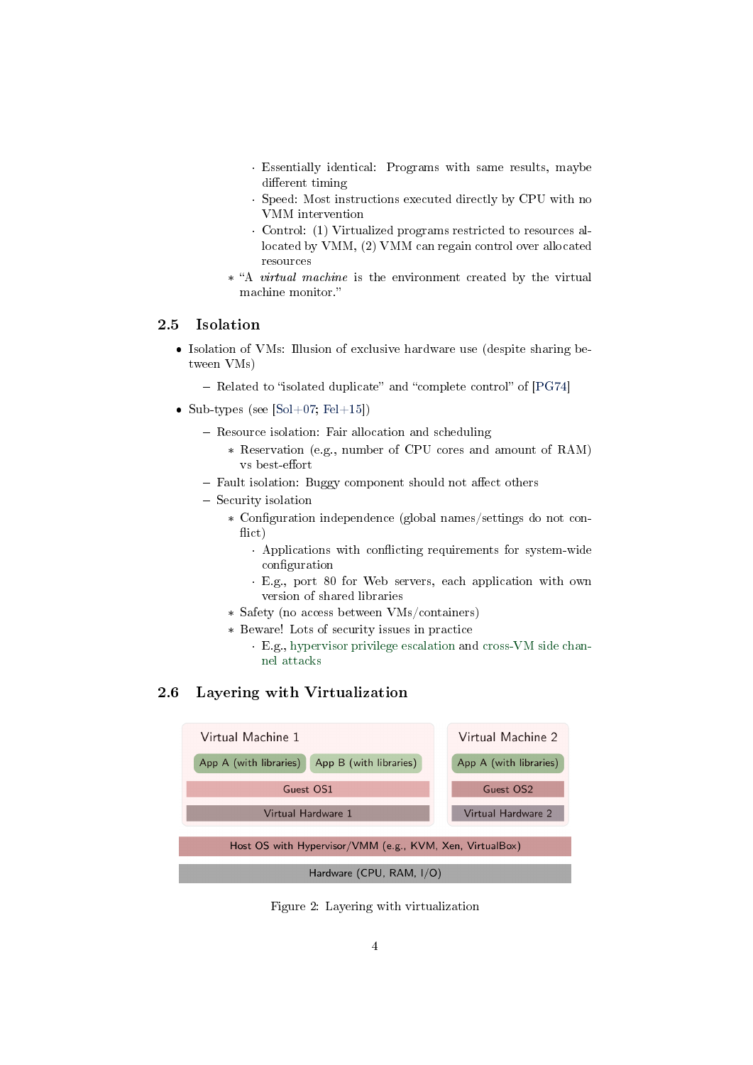- · Essentially identical: Programs with same results, maybe different timing
- · Speed: Most instructions executed directly by CPU with no VMM intervention
- · Control: (1) Virtualized programs restricted to resources allocated by VMM, (2) VMM can regain control over allocated resources
- \* "A *virtual machine* is the environment created by the virtual machine monitor.

# 2.5 Isolation

- Isolation of VMs: Illusion of exclusive hardware use (despite sharing between VMs)
	- $-$  Related to "isolated duplicate" and "complete control" of  $[PG74]$
- Sub-types (see  $[Sol+07; Fel+15]$  $[Sol+07; Fel+15]$  $[Sol+07; Fel+15]$ )
	- Resource isolation: Fair allocation and scheduling
		- \* Reservation (e.g., number of CPU cores and amount of RAM) vs best-effort
	- Fault isolation: Buggy component should not affect others
	- Security isolation
		- \* Configuration independence (global names/settings do not conflict)
			- Applications with conflicting requirements for system-wide configuration
			- · E.g., port 80 for Web servers, each application with own version of shared libraries
		- \* Safety (no access between VMs/containers)
		- \* Beware! Lots of security issues in practice
			- · E.g., [hypervisor privilege escalation](https://www.startpage.com/do/search?q=hypervisor+privilege+escalation) and [cross-VM side chan](https://www.startpage.com/do/search?q=cross-vm+side+channel+attack)[nel attacks](https://www.startpage.com/do/search?q=cross-vm+side+channel+attack)

## 2.6 Layering with Virtualization



Figure 2: Layering with virtualization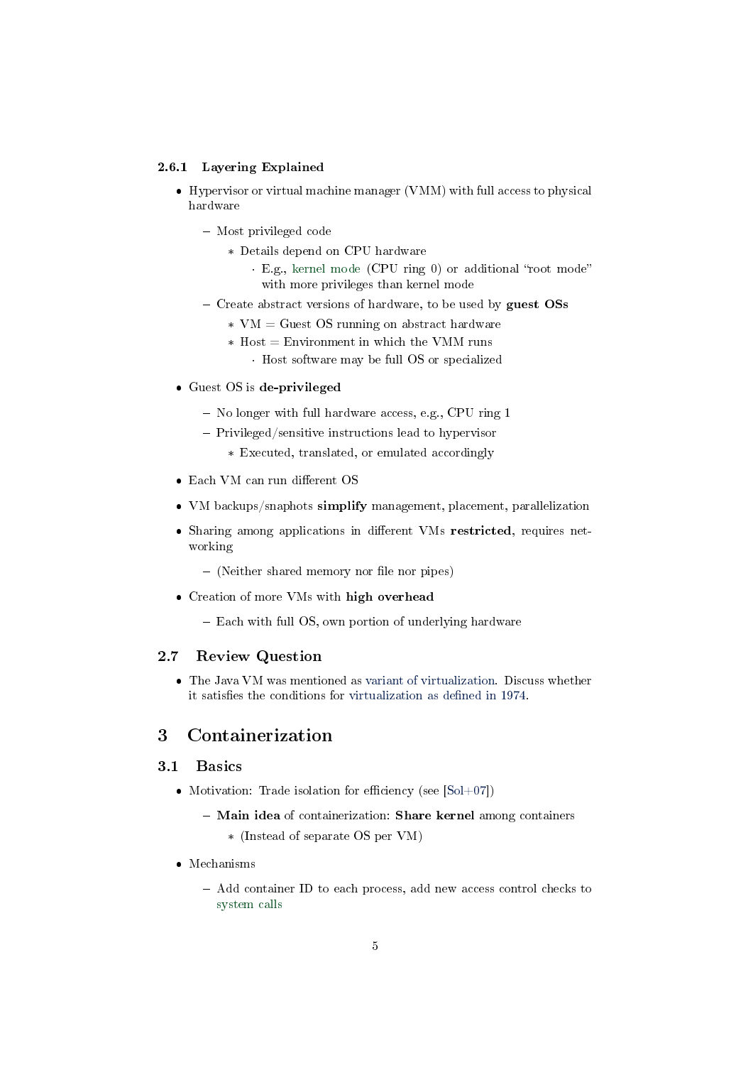#### 2.6.1 Layering Explained

- Hypervisor or virtual machine manager (VMM) with full access to physical hardware
	- Most privileged code
		- \* Details depend on CPU hardware
			- · E.g., [kernel mode](https://oer.gitlab.io/OS/Operating-Systems-Interrupts.html#slide-kernel-mode) (CPU ring 0) or additional "root mode" with more privileges than kernel mode
	- Create abstract versions of hardware, to be used by guest  $\text{OSs}$ 
		- $*$  VM = Guest OS running on abstract hardware
		- $*$  Host = Environment in which the VMM runs
			- · Host software may be full OS or specialized
- Guest OS is de-privileged
	- No longer with full hardware access, e.g., CPU ring 1
	- Privileged/sensitive instructions lead to hypervisor
		- \* Executed, translated, or emulated accordingly
- $\bullet$  Each VM can run different OS
- VM backups/snaphots simplify management, placement, parallelization
- Sharing among applications in different VMs restricted, requires networking
	- (Neither shared memory nor file nor pipes)
- Creation of more VMs with high overhead
	- Each with full OS, own portion of underlying hardware

# 2.7 Review Question

 The Java VM was mentioned as [variant of virtualization.](#page-2-0) Discuss whether it satisfies the conditions for virtualization as defined in 1974.

# <span id="page-4-0"></span>3 Containerization

#### 3.1 Basics

- Motivation: Trade isolation for efficiency (see  $[Sol+07]$ )
	- Main idea of containerization: Share kernel among containers
		- \* (Instead of separate OS per VM)
- Mechanisms
	- Add container ID to each process, add new access control checks to [system calls](https://oer.gitlab.io/OS/Operating-Systems-Introduction.html#slide-system-calls)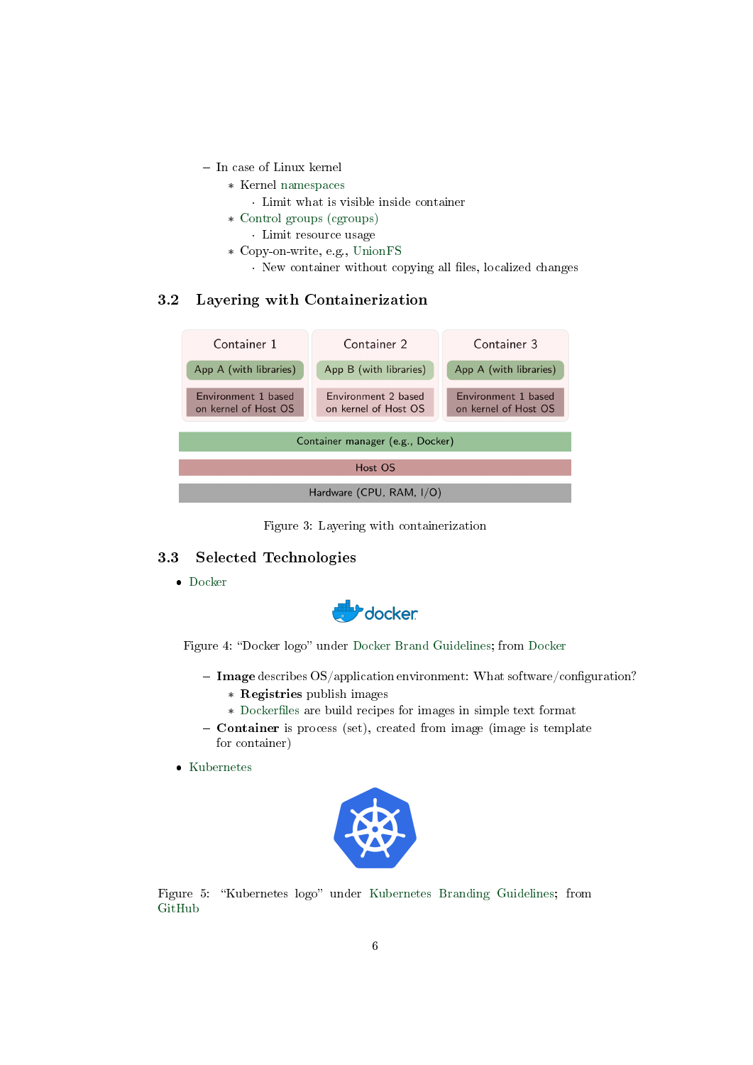- In case of Linux kernel
	- \* Kernel [namespaces](https://en.wikipedia.org/wiki/Linux_namespaces)
		- · Limit what is visible inside container
	- \* [Control groups \(cgroups\)](https://en.wikipedia.org/wiki/Cgroups)
		- · Limit resource usage
	- \* Copy-on-write, e.g., [UnionFS](https://en.wikipedia.org/wiki/UnionFS)
		- · New container without copying all files, localized changes

# 3.2 Layering with Containerization



Figure 3: Layering with containerization

#### 3.3 Selected Technologies

[Docker](https://www.docker.com/what-docker)



Figure 4: "Docker logo" under [Docker Brand Guidelines;](https://www.docker.com/brand-guidelines) from [Docker](https://www.docker.com/sites/default/files/legal/docker_logos_2018.zip)

- $\overline{\phantom{a}}$  Image describes OS/application environment: What software/configuration?
	- \* Registries publish images
	- \* [Dockerles](https://docs.docker.com/develop/develop-images/dockerfile_best-practices/) are build recipes for images in simple text format
- $\overline{\phantom{a}}$  Container is process (set), created from image (image is template for container)
- [Kubernetes](https://kubernetes.io/docs/tutorials/kubernetes-basics/)



Figure 5: "Kubernetes logo" under [Kubernetes Branding Guidelines;](https://github.com/kubernetes/kubernetes/blob/master/logo/usage_guidelines.md) from [GitHub](https://raw.githubusercontent.com/kubernetes/kubernetes/master/logo/logo_with_border.png)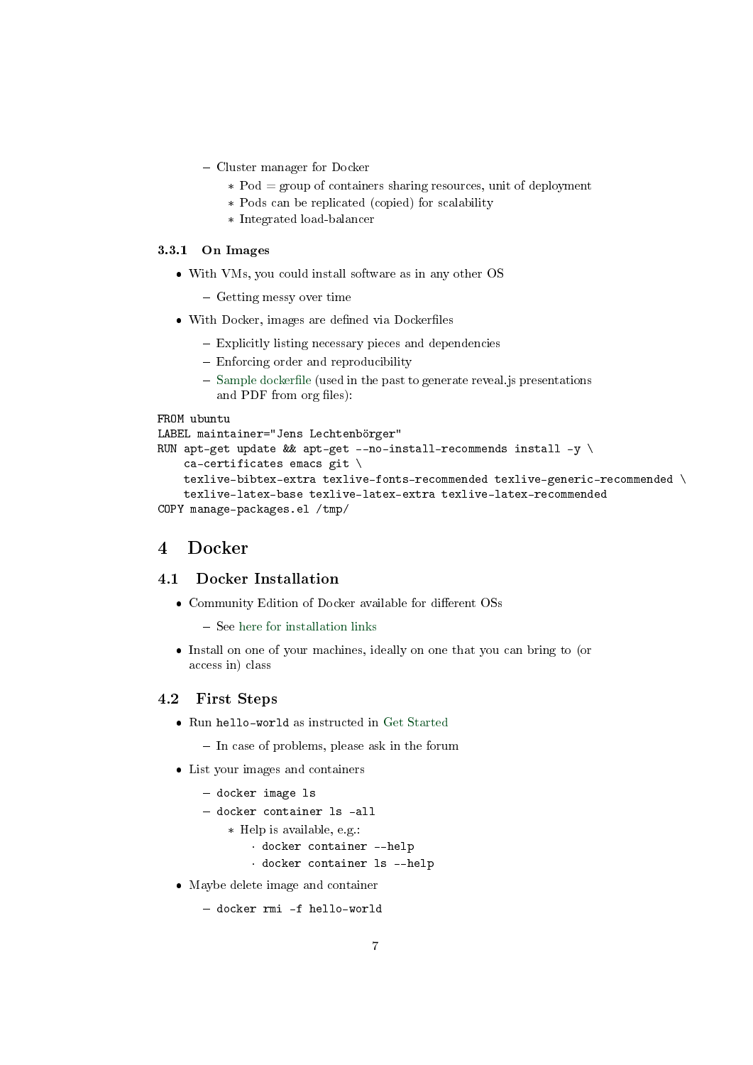- Cluster manager for Docker
	- $*$  Pod = group of containers sharing resources, unit of deployment
	- \* Pods can be replicated (copied) for scalability
	- \* Integrated load-balancer

#### 3.3.1 On Images

- With VMs, you could install software as in any other OS
	- Getting messy over time
- With Docker, images are defined via Dockerfiles
	- Explicitly listing necessary pieces and dependencies
	- Enforcing order and reproducibility
	- $-$  Sample dockerfile (used in the past to generate reveal. is presentations and PDF from org files):

```
FROM ubuntu
LABEL maintainer="Jens Lechtenbörger"
RUN apt-get update && apt-get --no-install-recommends install -y \setminusca-certificates emacs git \
    texlive-bibtex-extra texlive-fonts-recommended texlive-generic-recommended \
    texlive-latex-base texlive-latex-extra texlive-latex-recommended
COPY manage-packages.el /tmp/
```
# <span id="page-6-0"></span>4 Docker

#### 4.1 Docker Installation

- Community Edition of Docker available for different OSs
	- $-$  See [here for installation links](https://docs.docker.com/install/)
- Install on one of your machines, ideally on one that you can bring to (or access in) class

# 4.2 First Steps

- Run hello-world as instructed in [Get Started](https://docs.docker.com/get-started/)
	- $-$  In case of problems, please ask in the forum
- List your images and containers
	- docker image ls
	- docker container ls -all
		- \* Help is available, e.g.:
			- · docker container --help
			- · docker container ls --help
- Maybe delete image and container

```
 docker rmi -f hello-world
```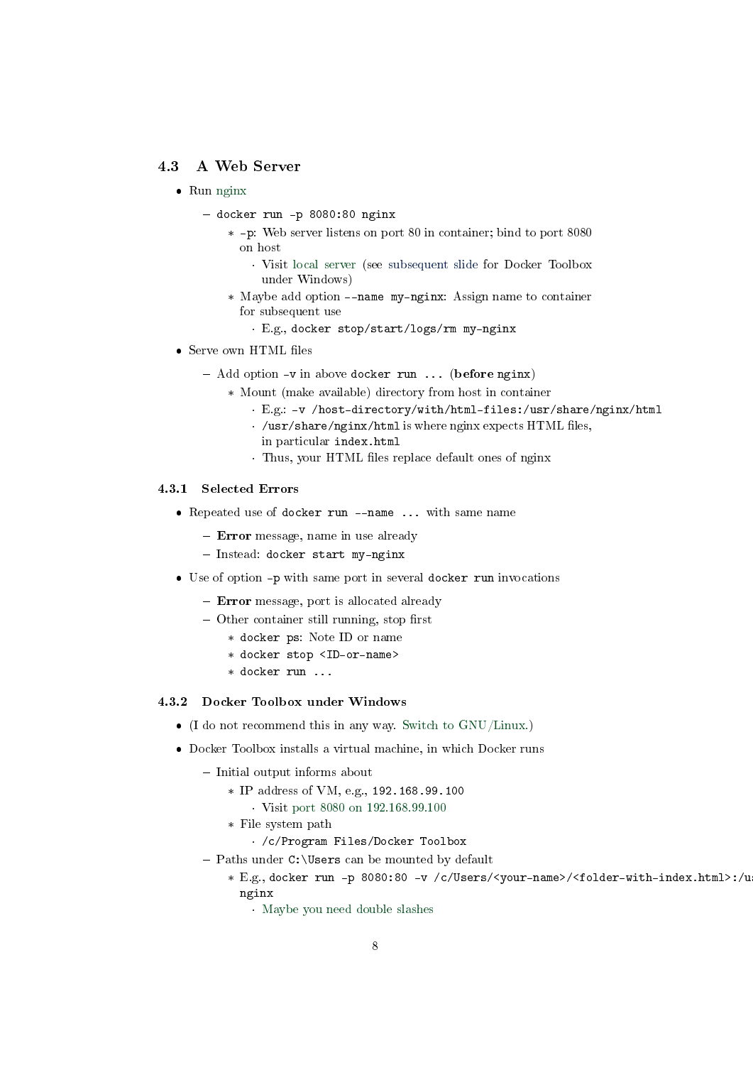### 4.3 A Web Server

- $\bullet$  Run [nginx](https://en.wikipedia.org/wiki/Nginx)
	- docker run -p 8080:80 nginx
		- \* -p: Web server listens on port 80 in container; bind to port 8080 on host
			- · Visit [local server](http://localhost:8080) (see [subsequent slide](#page-7-0) for Docker Toolbox under Windows)
		- \* Maybe add option --name my-nginx: Assign name to container for subsequent use
			- · E.g., docker stop/start/logs/rm my-nginx
- Serve own HTML files
	- $-$  Add option  $-v$  in above docker run ... (before nginx)
		- \* Mount (make available) directory from host in container
			- · E.g.: -v /host-directory/with/html-files:/usr/share/nginx/html
			- $\cdot$  /usr/share/nginx/html is where nginx expects HTML files,
			- in particular index.html
			- · Thus, your HTML files replace default ones of nginx

#### 4.3.1 Selected Errors

- Repeated use of docker run --name ... with same name
	- Error message, name in use already
	- Instead: docker start my-nginx
- Use of option -p with same port in several docker run invocations
	- Error message, port is allocated already
	- $-$  Other container still running, stop first
		- \* docker ps: Note ID or name
		- \* docker stop <ID-or-name>
		- \* docker run ...

#### <span id="page-7-0"></span>4.3.2 Docker Toolbox under Windows

- $\bullet$  (I do not recommend this in any way. [Switch to GNU/Linux.\)](https://www.getgnulinux.org/en/switch_to_linux/)
- Docker Toolbox installs a virtual machine, in which Docker runs
	- Initial output informs about
		- \* IP address of VM, e.g., 192.168.99.100
			- · Visit [port 8080 on 192.168.99.100](http://192.168.99.100:8080)
		- \* File system path

· /c/Program Files/Docker Toolbox

- $-$  Paths under C: \Users can be mounted by default
	- \* E.g., docker run -p 8080:80 -v /c/Users/<your-name>/<folder-with-index.html>:/u nginx
		- · [Maybe you need double slashes](https://stackoverflow.com/questions/33312662/docker-toolbox-mount-file-on-windows)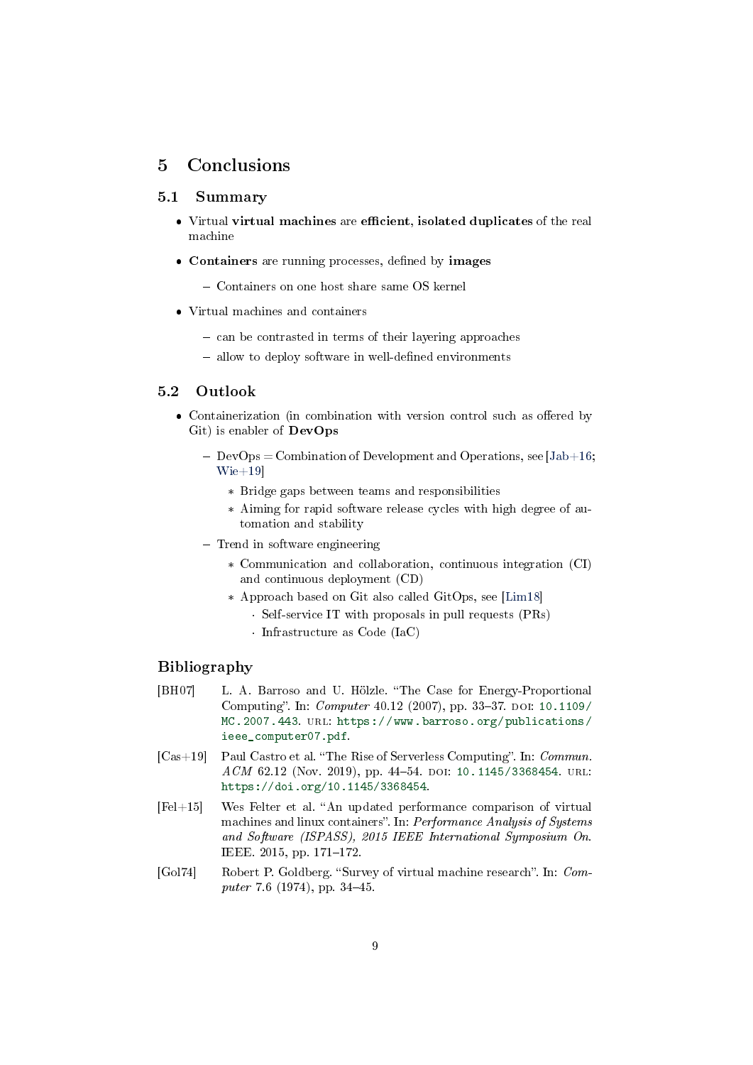# <span id="page-8-0"></span>5 Conclusions

#### 5.1 Summary

- Virtual virtual machines are efficient, isolated duplicates of the real machine
- Containers are running processes, defined by images
	- Containers on one host share same OS kernel
- Virtual machines and containers
	- can be contrasted in terms of their layering approaches
	- $-$  allow to deploy software in well-defined environments

#### 5.2 Outlook

- Containerization (in combination with version control such as offered by Git) is enabler of DevOps
	- $-\text{DevOps} = \text{Combination of Development and Operations, see } [Jab+16;$  $-\text{DevOps} = \text{Combination of Development and Operations, see } [Jab+16;$ [Wie+19\]](#page-9-4)
		- \* Bridge gaps between teams and responsibilities
		- \* Aiming for rapid software release cycles with high degree of automation and stability
	- Trend in software engineering
		- \* Communication and collaboration, continuous integration (CI) and continuous deployment (CD)
		- \* Approach based on Git also called GitOps, see [\[Lim18\]](#page-9-5) · Self-service IT with proposals in pull requests (PRs)
			- · Infrastructure as Code (IaC)

#### Bibliography

- <span id="page-8-2"></span>[BH07] L. A. Barroso and U. Hölzle. "The Case for Energy-Proportional Computing". In: *Computer* 40.12 (2007), pp. 33–37. DOI: [10.1109/](https://doi.org/10.1109/MC.2007.443) [MC.2007.443.](https://doi.org/10.1109/MC.2007.443) url: [https://www.barroso.org/publications/](https://www.barroso.org/publications/ieee_computer07.pdf) [ieee\\_computer07.pdf.](https://www.barroso.org/publications/ieee_computer07.pdf)
- <span id="page-8-3"></span> $[Cas+19]$  Paul Castro et al. "The Rise of Serverless Computing". In: Commun. ACM 62.12 (Nov. 2019), pp. 44-54. DOI: [10.1145/3368454.](https://doi.org/10.1145/3368454) URL: [https://doi.org/10.1145/3368454.](https://doi.org/10.1145/3368454)
- <span id="page-8-4"></span> $[Fe1+15]$  Wes Felter et al. "An updated performance comparison of virtual machines and linux containers". In:  $Performance\ Analysis$  of Systems and Software (ISPASS), 2015 IEEE International Symposium On. IEEE.  $2015$ , pp.  $171-172$ .
- <span id="page-8-1"></span>[Gol74] Robert P. Goldberg. "Survey of virtual machine research". In: Computer 7.6 (1974), pp. 34-45.